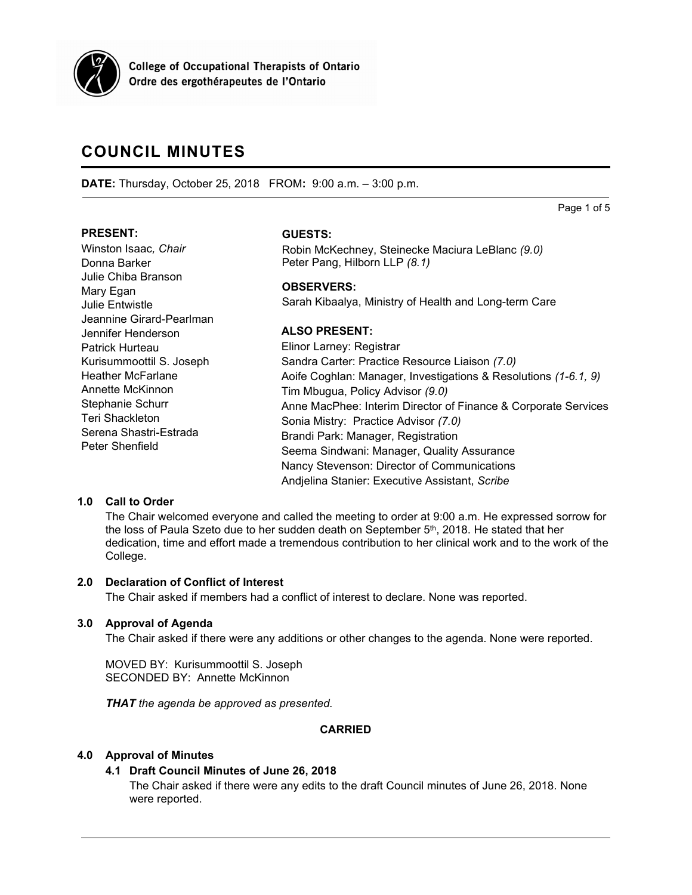

**College of Occupational Therapists of Ontario** Ordre des ergothérapeutes de l'Ontario

# **COUNCIL MINUTES**

**DATE:** Thursday, October 25, 2018 FROM**:** 9:00 a.m. – 3:00 p.m.

Page 1 of 5

## **PRESENT:**

Winston Isaac*, Chair* Donna Barker Julie Chiba Branson Mary Egan Julie Entwistle Jeannine Girard-Pearlman Jennifer Henderson Patrick Hurteau Kurisummoottil S. Joseph Heather McFarlane Annette McKinnon Stephanie Schurr Teri Shackleton Serena Shastri-Estrada Peter Shenfield

## **GUESTS:**

Robin McKechney, Steinecke Maciura LeBlanc *(9.0)* Peter Pang, Hilborn LLP *(8.1)*

## **OBSERVERS:**

Sarah Kibaalya, Ministry of Health and Long-term Care

## **ALSO PRESENT:**

Elinor Larney: Registrar Sandra Carter: Practice Resource Liaison *(7.0)* Aoife Coghlan: Manager, Investigations & Resolutions *(1-6.1, 9)* Tim Mbugua, Policy Advisor *(9.0)* Anne MacPhee: Interim Director of Finance & Corporate Services Sonia Mistry: Practice Advisor *(7.0)* Brandi Park: Manager, Registration Seema Sindwani: Manager, Quality Assurance Nancy Stevenson: Director of Communications Andjelina Stanier: Executive Assistant, *Scribe*

## **1.0 Call to Order**

The Chair welcomed everyone and called the meeting to order at 9:00 a.m. He expressed sorrow for the loss of Paula Szeto due to her sudden death on September  $5<sup>th</sup>$ , 2018. He stated that her dedication, time and effort made a tremendous contribution to her clinical work and to the work of the College.

## **2.0 Declaration of Conflict of Interest**

The Chair asked if members had a conflict of interest to declare. None was reported.

## **3.0 Approval of Agenda**

The Chair asked if there were any additions or other changes to the agenda. None were reported.

MOVED BY: Kurisummoottil S. Joseph SECONDED BY: Annette McKinnon

*THAT the agenda be approved as presented.*

## **CARRIED**

## **4.0 Approval of Minutes**

## **4.1 Draft Council Minutes of June 26, 2018**

The Chair asked if there were any edits to the draft Council minutes of June 26, 2018. None were reported.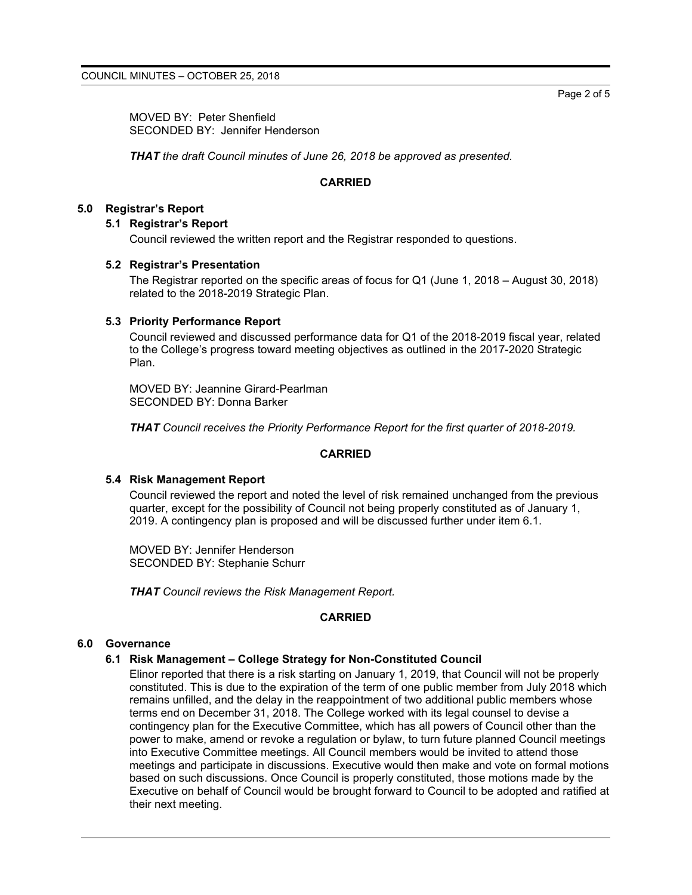MOVED BY: Peter Shenfield SECONDED BY: Jennifer Henderson

*THAT the draft Council minutes of June 26, 2018 be approved as presented.*

#### **CARRIED**

## **5.0 Registrar's Report**

#### **5.1 Registrar's Report**

Council reviewed the written report and the Registrar responded to questions.

#### **5.2 Registrar's Presentation**

The Registrar reported on the specific areas of focus for Q1 (June 1, 2018 – August 30, 2018) related to the 2018-2019 Strategic Plan.

#### **5.3 Priority Performance Report**

Council reviewed and discussed performance data for Q1 of the 2018-2019 fiscal year, related to the College's progress toward meeting objectives as outlined in the 2017-2020 Strategic Plan.

MOVED BY: Jeannine Girard-Pearlman SECONDED BY: Donna Barker

*THAT Council receives the Priority Performance Report for the first quarter of 2018-2019.*

#### **CARRIED**

#### **5.4 Risk Management Report**

Council reviewed the report and noted the level of risk remained unchanged from the previous quarter, except for the possibility of Council not being properly constituted as of January 1, 2019. A contingency plan is proposed and will be discussed further under item 6.1.

MOVED BY: Jennifer Henderson SECONDED BY: Stephanie Schurr

*THAT Council reviews the Risk Management Report.*

## **CARRIED**

#### **6.0 Governance**

## **6.1 Risk Management – College Strategy for Non-Constituted Council**

Elinor reported that there is a risk starting on January 1, 2019, that Council will not be properly constituted. This is due to the expiration of the term of one public member from July 2018 which remains unfilled, and the delay in the reappointment of two additional public members whose terms end on December 31, 2018. The College worked with its legal counsel to devise a contingency plan for the Executive Committee, which has all powers of Council other than the power to make, amend or revoke a regulation or bylaw, to turn future planned Council meetings into Executive Committee meetings. All Council members would be invited to attend those meetings and participate in discussions. Executive would then make and vote on formal motions based on such discussions. Once Council is properly constituted, those motions made by the Executive on behalf of Council would be brought forward to Council to be adopted and ratified at their next meeting.

Page 2 of 5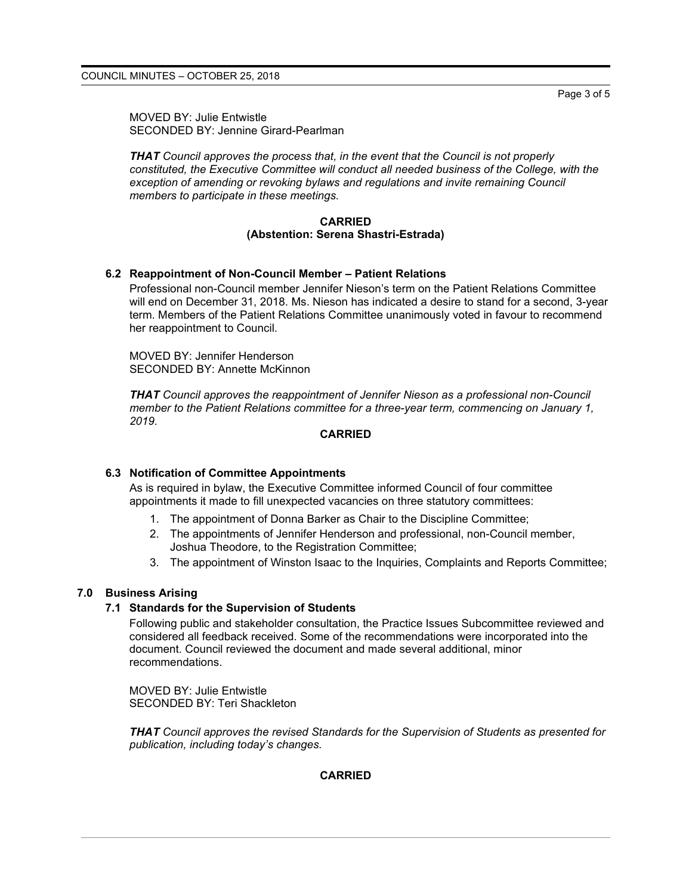Page 3 of 5

MOVED BY: Julie Entwistle SECONDED BY: Jennine Girard-Pearlman

*THAT Council approves the process that, in the event that the Council is not properly constituted, the Executive Committee will conduct all needed business of the College, with the exception of amending or revoking bylaws and regulations and invite remaining Council members to participate in these meetings.*

#### **CARRIED (Abstention: Serena Shastri-Estrada)**

## **6.2 Reappointment of Non-Council Member – Patient Relations**

Professional non-Council member Jennifer Nieson's term on the Patient Relations Committee will end on December 31, 2018. Ms. Nieson has indicated a desire to stand for a second, 3-year term. Members of the Patient Relations Committee unanimously voted in favour to recommend her reappointment to Council.

MOVED BY: Jennifer Henderson SECONDED BY: Annette McKinnon

*THAT Council approves the reappointment of Jennifer Nieson as a professional non-Council member to the Patient Relations committee for a three-year term, commencing on January 1, 2019.*

#### **CARRIED**

## **6.3 Notification of Committee Appointments**

As is required in bylaw, the Executive Committee informed Council of four committee appointments it made to fill unexpected vacancies on three statutory committees:

- 1. The appointment of Donna Barker as Chair to the Discipline Committee;
- 2. The appointments of Jennifer Henderson and professional, non-Council member, Joshua Theodore, to the Registration Committee;
- 3. The appointment of Winston Isaac to the Inquiries, Complaints and Reports Committee;

## **7.0 Business Arising**

#### **7.1 Standards for the Supervision of Students**

Following public and stakeholder consultation, the Practice Issues Subcommittee reviewed and considered all feedback received. Some of the recommendations were incorporated into the document. Council reviewed the document and made several additional, minor recommendations.

MOVED BY: Julie Entwistle SECONDED BY: Teri Shackleton

*THAT Council approves the revised Standards for the Supervision of Students as presented for publication, including today's changes.*

#### **CARRIED**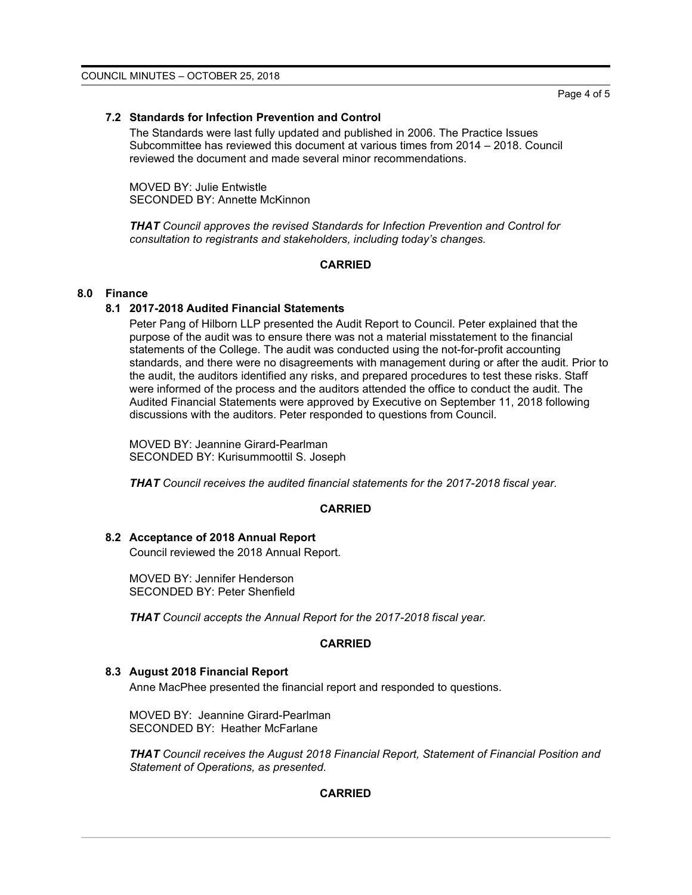## **7.2 Standards for Infection Prevention and Control**

The Standards were last fully updated and published in 2006. The Practice Issues Subcommittee has reviewed this document at various times from 2014 – 2018. Council reviewed the document and made several minor recommendations.

MOVED BY: Julie Entwistle SECONDED BY: Annette McKinnon

*THAT Council approves the revised Standards for Infection Prevention and Control for consultation to registrants and stakeholders, including today's changes.*

## **CARRIED**

#### **8.0 Finance**

#### **8.1 2017-2018 Audited Financial Statements**

Peter Pang of Hilborn LLP presented the Audit Report to Council. Peter explained that the purpose of the audit was to ensure there was not a material misstatement to the financial statements of the College. The audit was conducted using the not-for-profit accounting standards, and there were no disagreements with management during or after the audit. Prior to the audit, the auditors identified any risks, and prepared procedures to test these risks. Staff were informed of the process and the auditors attended the office to conduct the audit. The Audited Financial Statements were approved by Executive on September 11, 2018 following discussions with the auditors. Peter responded to questions from Council.

MOVED BY: Jeannine Girard-Pearlman SECONDED BY: Kurisummoottil S. Joseph

*THAT Council receives the audited financial statements for the 2017-2018 fiscal year.*

#### **CARRIED**

#### **8.2 Acceptance of 2018 Annual Report**

Council reviewed the 2018 Annual Report.

MOVED BY: Jennifer Henderson SECONDED BY: Peter Shenfield

*THAT Council accepts the Annual Report for the 2017-2018 fiscal year.*

#### **CARRIED**

## **8.3 August 2018 Financial Report**

Anne MacPhee presented the financial report and responded to questions.

MOVED BY: Jeannine Girard-Pearlman SECONDED BY: Heather McFarlane

*THAT Council receives the August 2018 Financial Report, Statement of Financial Position and Statement of Operations, as presented.*

## **CARRIED**